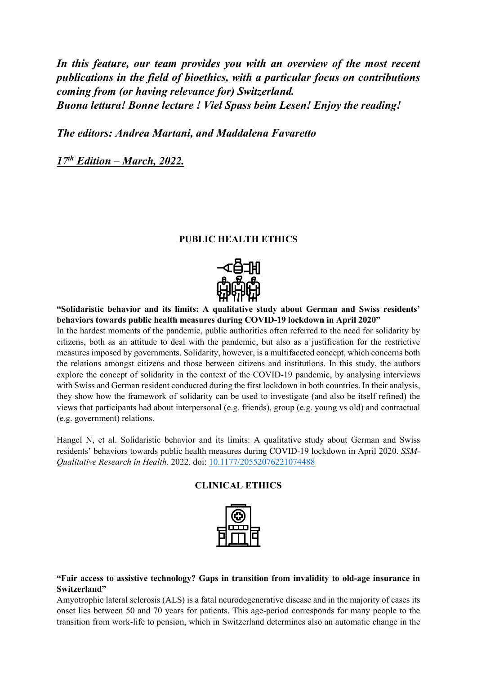*In this feature, our team provides you with an overview of the most recent publications in the field of bioethics, with a particular focus on contributions coming from (or having relevance for) Switzerland. Buona lettura! Bonne lecture ! Viel Spass beim Lesen! Enjoy the reading!*

*The editors: Andrea Martani, and Maddalena Favaretto*

*17th Edition – March, 2022.*

## **PUBLIC HEALTH ETHICS**



**"Solidaristic behavior and its limits: A qualitative study about German and Swiss residents' behaviors towards public health measures during COVID-19 lockdown in April 2020"** In the hardest moments of the pandemic, public authorities often referred to the need for solidarity by citizens, both as an attitude to deal with the pandemic, but also as a justification for the restrictive measures imposed by governments. Solidarity, however, is a multifaceted concept, which concerns both the relations amongst citizens and those between citizens and institutions. In this study, the authors explore the concept of solidarity in the context of the COVID-19 pandemic, by analysing interviews with Swiss and German resident conducted during the first lockdown in both countries. In their analysis, they show how the framework of solidarity can be used to investigate (and also be itself refined) the views that participants had about interpersonal (e.g. friends), group (e.g. young vs old) and contractual (e.g. government) relations.

Hangel N, et al. Solidaristic behavior and its limits: A qualitative study about German and Swiss residents' behaviors towards public health measures during COVID-19 lockdown in April 2020. *SSM-Qualitative Research in Health.* 2022. doi: [10.1177/20552076221074488](https://doi.org/10.1016/j.ssmqr.2022.100051) 

## **CLINICAL ETHICS**



## **"Fair access to assistive technology? Gaps in transition from invalidity to old-age insurance in Switzerland"**

Amyotrophic lateral sclerosis (ALS) is a fatal neurodegenerative disease and in the majority of cases its onset lies between 50 and 70 years for patients. This age-period corresponds for many people to the transition from work-life to pension, which in Switzerland determines also an automatic change in the